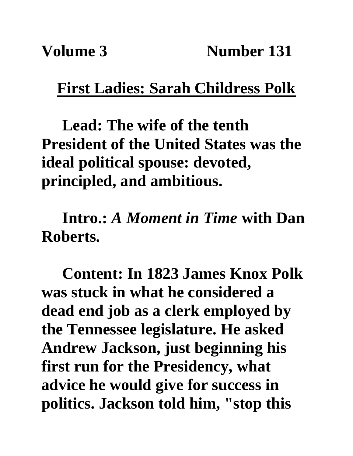## **First Ladies: Sarah Childress Polk**

**Lead: The wife of the tenth President of the United States was the ideal political spouse: devoted, principled, and ambitious.** 

**Intro.:** *A Moment in Time* **with Dan Roberts.**

**Content: In 1823 James Knox Polk was stuck in what he considered a dead end job as a clerk employed by the Tennessee legislature. He asked Andrew Jackson, just beginning his first run for the Presidency, what advice he would give for success in politics. Jackson told him, "stop this**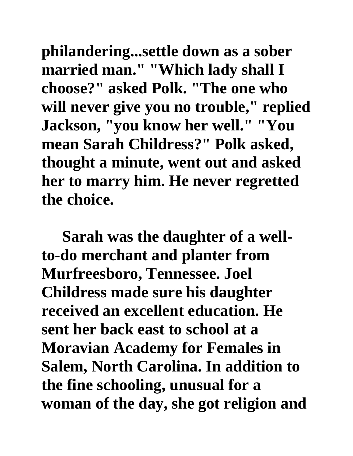**philandering...settle down as a sober married man." "Which lady shall I choose?" asked Polk. "The one who will never give you no trouble," replied Jackson, "you know her well." "You mean Sarah Childress?" Polk asked, thought a minute, went out and asked her to marry him. He never regretted the choice.**

**Sarah was the daughter of a wellto-do merchant and planter from Murfreesboro, Tennessee. Joel Childress made sure his daughter received an excellent education. He sent her back east to school at a Moravian Academy for Females in Salem, North Carolina. In addition to the fine schooling, unusual for a woman of the day, she got religion and**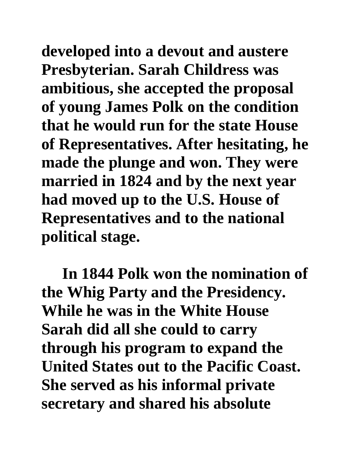**developed into a devout and austere Presbyterian. Sarah Childress was ambitious, she accepted the proposal of young James Polk on the condition that he would run for the state House of Representatives. After hesitating, he made the plunge and won. They were married in 1824 and by the next year had moved up to the U.S. House of Representatives and to the national political stage.**

**In 1844 Polk won the nomination of the Whig Party and the Presidency. While he was in the White House Sarah did all she could to carry through his program to expand the United States out to the Pacific Coast. She served as his informal private secretary and shared his absolute**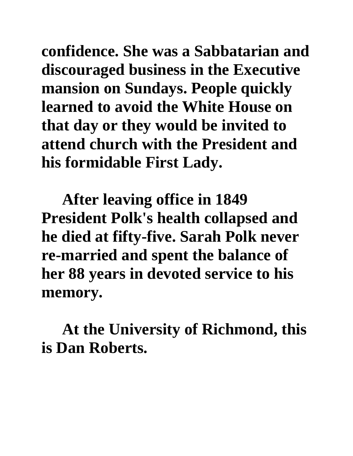**confidence. She was a Sabbatarian and discouraged business in the Executive mansion on Sundays. People quickly learned to avoid the White House on that day or they would be invited to attend church with the President and his formidable First Lady.** 

**After leaving office in 1849 President Polk's health collapsed and he died at fifty-five. Sarah Polk never re-married and spent the balance of her 88 years in devoted service to his memory.**

**At the University of Richmond, this is Dan Roberts.**